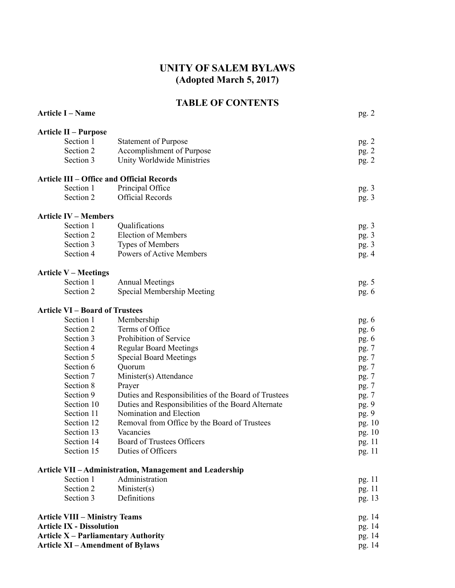# **UNITY OF SALEM BYLAWS (Adopted March 5, 2017)**

# **TABLE OF CONTENTS**

| <b>Article I - Name</b>                                       |                                                         | pg. 2   |
|---------------------------------------------------------------|---------------------------------------------------------|---------|
| <b>Article II – Purpose</b>                                   |                                                         |         |
| Section 1                                                     | <b>Statement of Purpose</b>                             | pg. 2   |
| Section 2                                                     | Accomplishment of Purpose                               | pg.2    |
| Section 3                                                     | Unity Worldwide Ministries                              | pg.2    |
|                                                               |                                                         |         |
| <b>Article III - Office and Official Records</b><br>Section 1 |                                                         |         |
| Section 2                                                     | Principal Office<br><b>Official Records</b>             | pg. $3$ |
|                                                               |                                                         | pg. $3$ |
| <b>Article IV - Members</b>                                   |                                                         |         |
| Section 1                                                     | Qualifications                                          | pg. $3$ |
| Section 2                                                     | <b>Election of Members</b>                              | pg. $3$ |
| Section 3                                                     | Types of Members                                        | pg.3    |
| Section 4                                                     | Powers of Active Members                                | pg.4    |
| <b>Article V – Meetings</b>                                   |                                                         |         |
| Section 1                                                     | <b>Annual Meetings</b>                                  | pg. 5   |
| Section 2                                                     | Special Membership Meeting                              | pg. $6$ |
| <b>Article VI - Board of Trustees</b>                         |                                                         |         |
| Section 1                                                     | Membership                                              | pg. $6$ |
| Section 2                                                     | Terms of Office                                         | pg. $6$ |
| Section 3                                                     | Prohibition of Service                                  | pg. $6$ |
| Section 4                                                     | <b>Regular Board Meetings</b>                           | pg. 7   |
| Section 5                                                     | <b>Special Board Meetings</b>                           | pg. 7   |
| Section 6                                                     | Quorum                                                  | pg. 7   |
| Section 7                                                     | Minister(s) Attendance                                  | pg. 7   |
| Section 8                                                     | Prayer                                                  | pg. 7   |
| Section 9                                                     | Duties and Responsibilities of the Board of Trustees    | pg. 7   |
| Section 10                                                    | Duties and Responsibilities of the Board Alternate      | pg. 9   |
| Section 11                                                    | Nomination and Election                                 | pg. 9   |
| Section 12                                                    | Removal from Office by the Board of Trustees            | pg. 10  |
| Section 13                                                    | Vacancies                                               | pg. 10  |
| Section 14                                                    | Board of Trustees Officers                              | pg. 11  |
| Section 15                                                    | Duties of Officers                                      | pg. 11  |
|                                                               | Article VII - Administration, Management and Leadership |         |
| Section 1                                                     | Administration                                          | pg. 11  |
| Section 2                                                     | Minister(s)                                             | pg. 11  |
| Section 3                                                     | Definitions                                             | pg. 13  |
| <b>Article VIII - Ministry Teams</b>                          |                                                         | pg. 14  |
| <b>Article IX - Dissolution</b>                               |                                                         | pg. 14  |
| <b>Article X - Parliamentary Authority</b>                    |                                                         | pg. 14  |
| <b>Article XI - Amendment of Bylaws</b>                       |                                                         | pg. 14  |
|                                                               |                                                         |         |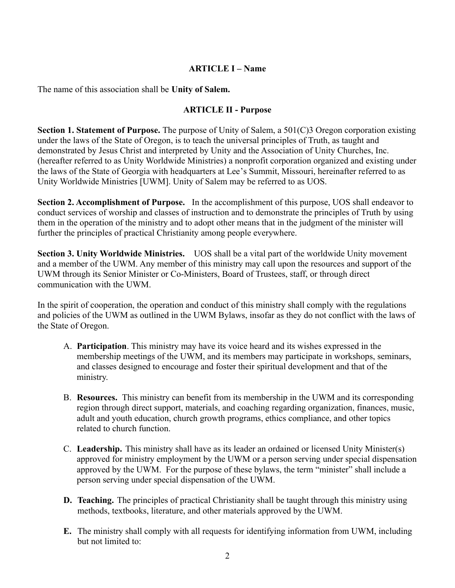### **ARTICLE I – Name**

The name of this association shall be **Unity of Salem.**

### **ARTICLE II - Purpose**

**Section 1. Statement of Purpose.** The purpose of Unity of Salem, a 501(C)3 Oregon corporation existing under the laws of the State of Oregon, is to teach the universal principles of Truth, as taught and demonstrated by Jesus Christ and interpreted by Unity and the Association of Unity Churches, Inc. (hereafter referred to as Unity Worldwide Ministries) a nonprofit corporation organized and existing under the laws of the State of Georgia with headquarters at Lee's Summit, Missouri, hereinafter referred to as Unity Worldwide Ministries [UWM]. Unity of Salem may be referred to as UOS.

**Section 2. Accomplishment of Purpose.** In the accomplishment of this purpose, UOS shall endeavor to conduct services of worship and classes of instruction and to demonstrate the principles of Truth by using them in the operation of the ministry and to adopt other means that in the judgment of the minister will further the principles of practical Christianity among people everywhere.

**Section 3. Unity Worldwide Ministries.** UOS shall be a vital part of the worldwide Unity movement and a member of the UWM. Any member of this ministry may call upon the resources and support of the UWM through its Senior Minister or Co-Ministers, Board of Trustees, staff, or through direct communication with the UWM.

In the spirit of cooperation, the operation and conduct of this ministry shall comply with the regulations and policies of the UWM as outlined in the UWM Bylaws, insofar as they do not conflict with the laws of the State of Oregon.

- A. **Participation**. This ministry may have its voice heard and its wishes expressed in the membership meetings of the UWM, and its members may participate in workshops, seminars, and classes designed to encourage and foster their spiritual development and that of the ministry.
- B. **Resources.** This ministry can benefit from its membership in the UWM and its corresponding region through direct support, materials, and coaching regarding organization, finances, music, adult and youth education, church growth programs, ethics compliance, and other topics related to church function.
- C. **Leadership.** This ministry shall have as its leader an ordained or licensed Unity Minister(s) approved for ministry employment by the UWM or a person serving under special dispensation approved by the UWM. For the purpose of these bylaws, the term "minister" shall include a person serving under special dispensation of the UWM.
- **D. Teaching.** The principles of practical Christianity shall be taught through this ministry using methods, textbooks, literature, and other materials approved by the UWM.
- **E.** The ministry shall comply with all requests for identifying information from UWM, including but not limited to: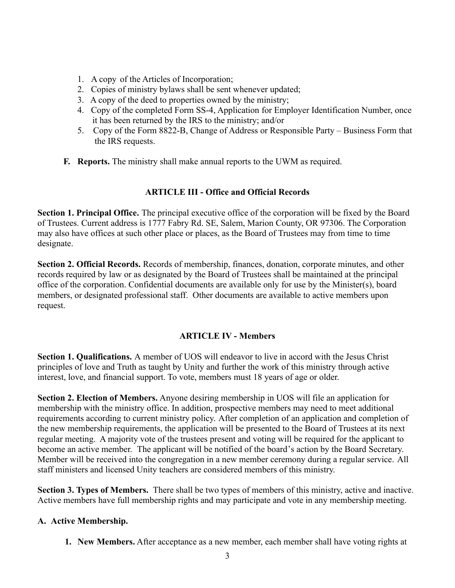- 1. A copy of the Articles of Incorporation;
- 2. Copies of ministry bylaws shall be sent whenever updated;
- 3. A copy of the deed to properties owned by the ministry;
- 4. Copy of the completed Form SS-4, Application for Employer Identification Number, once it has been returned by the IRS to the ministry; and/or
- 5. Copy of the Form 8822-B, Change of Address or Responsible Party Business Form that the IRS requests.
- **F. Reports.** The ministry shall make annual reports to the UWM as required.

#### **ARTICLE III - Office and Official Records**

**Section 1. Principal Office.** The principal executive office of the corporation will be fixed by the Board of Trustees. Current address is 1777 Fabry Rd. SE, Salem, Marion County, OR 97306. The Corporation may also have offices at such other place or places, as the Board of Trustees may from time to time designate.

**Section 2. Official Records.** Records of membership, finances, donation, corporate minutes, and other records required by law or as designated by the Board of Trustees shall be maintained at the principal office of the corporation. Confidential documents are available only for use by the Minister(s), board members, or designated professional staff. Other documents are available to active members upon request.

#### **ARTICLE IV - Members**

**Section 1. Qualifications.** A member of UOS will endeavor to live in accord with the Jesus Christ principles of love and Truth as taught by Unity and further the work of this ministry through active interest, love, and financial support. To vote, members must 18 years of age or older.

**Section 2. Election of Members.** Anyone desiring membership in UOS will file an application for membership with the ministry office. In addition, prospective members may need to meet additional requirements according to current ministry policy. After completion of an application and completion of the new membership requirements, the application will be presented to the Board of Trustees at its next regular meeting. A majority vote of the trustees present and voting will be required for the applicant to become an active member. The applicant will be notified of the board's action by the Board Secretary. Member will be received into the congregation in a new member ceremony during a regular service. All staff ministers and licensed Unity teachers are considered members of this ministry.

**Section 3. Types of Members.** There shall be two types of members of this ministry, active and inactive. Active members have full membership rights and may participate and vote in any membership meeting.

#### **A. Active Membership.**

**1. New Members.** After acceptance as a new member, each member shall have voting rights at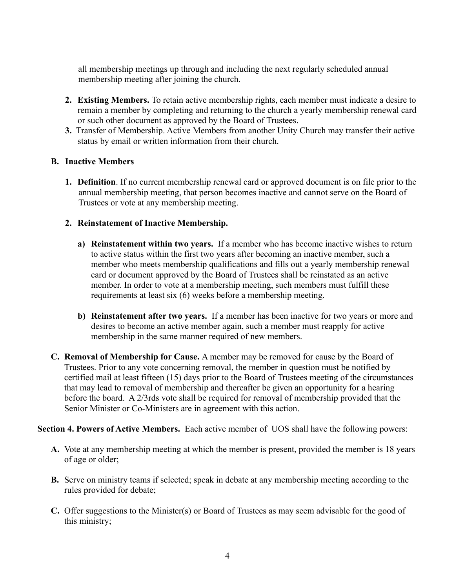all membership meetings up through and including the next regularly scheduled annual membership meeting after joining the church.

- **2. Existing Members.** To retain active membership rights, each member must indicate a desire to remain a member by completing and returning to the church a yearly membership renewal card or such other document as approved by the Board of Trustees.
- **3.** Transfer of Membership. Active Members from another Unity Church may transfer their active status by email or written information from their church.

#### **B. Inactive Members**

**1. Definition**. If no current membership renewal card or approved document is on file prior to the annual membership meeting, that person becomes inactive and cannot serve on the Board of Trustees or vote at any membership meeting.

#### **2. Reinstatement of Inactive Membership.**

- **a) Reinstatement within two years.** If a member who has become inactive wishes to return to active status within the first two years after becoming an inactive member, such a member who meets membership qualifications and fills out a yearly membership renewal card or document approved by the Board of Trustees shall be reinstated as an active member. In order to vote at a membership meeting, such members must fulfill these requirements at least six (6) weeks before a membership meeting.
- **b) Reinstatement after two years.** If a member has been inactive for two years or more and desires to become an active member again, such a member must reapply for active membership in the same manner required of new members.
- **C. Removal of Membership for Cause.** A member may be removed for cause by the Board of Trustees. Prior to any vote concerning removal, the member in question must be notified by certified mail at least fifteen (15) days prior to the Board of Trustees meeting of the circumstances that may lead to removal of membership and thereafter be given an opportunity for a hearing before the board. A 2/3rds vote shall be required for removal of membership provided that the Senior Minister or Co-Ministers are in agreement with this action.

#### **Section 4. Powers of Active Members.** Each active member of UOS shall have the following powers:

- **A.** Vote at any membership meeting at which the member is present, provided the member is 18 years of age or older;
- **B.** Serve on ministry teams if selected; speak in debate at any membership meeting according to the rules provided for debate;
- **C.** Offer suggestions to the Minister(s) or Board of Trustees as may seem advisable for the good of this ministry;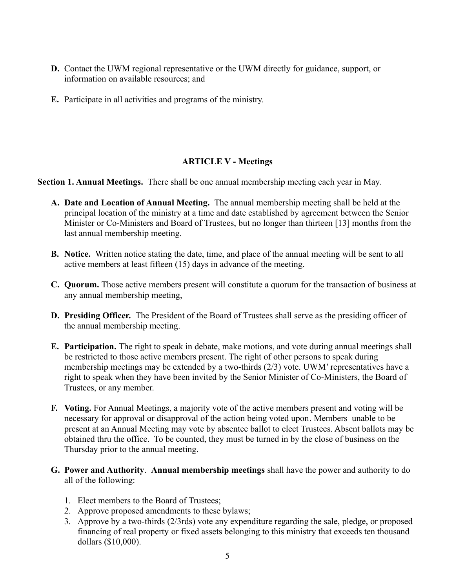- **D.** Contact the UWM regional representative or the UWM directly for guidance, support, or information on available resources; and
- **E.** Participate in all activities and programs of the ministry.

### **ARTICLE V - Meetings**

**Section 1. Annual Meetings.** There shall be one annual membership meeting each year in May.

- **A. Date and Location of Annual Meeting.** The annual membership meeting shall be held at the principal location of the ministry at a time and date established by agreement between the Senior Minister or Co-Ministers and Board of Trustees, but no longer than thirteen [13] months from the last annual membership meeting.
- **B. Notice.** Written notice stating the date, time, and place of the annual meeting will be sent to all active members at least fifteen (15) days in advance of the meeting.
- **C. Quorum.** Those active members present will constitute a quorum for the transaction of business at any annual membership meeting,
- **D. Presiding Officer.** The President of the Board of Trustees shall serve as the presiding officer of the annual membership meeting.
- **E. Participation.** The right to speak in debate, make motions, and vote during annual meetings shall be restricted to those active members present. The right of other persons to speak during membership meetings may be extended by a two-thirds (2/3) vote. UWM' representatives have a right to speak when they have been invited by the Senior Minister of Co-Ministers, the Board of Trustees, or any member.
- **F. Voting.** For Annual Meetings, a majority vote of the active members present and voting will be necessary for approval or disapproval of the action being voted upon. Members unable to be present at an Annual Meeting may vote by absentee ballot to elect Trustees. Absent ballots may be obtained thru the office. To be counted, they must be turned in by the close of business on the Thursday prior to the annual meeting.
- **G. Power and Authority**. **Annual membership meetings** shall have the power and authority to do all of the following:
	- 1. Elect members to the Board of Trustees;
	- 2. Approve proposed amendments to these bylaws;
	- 3. Approve by a two-thirds (2/3rds) vote any expenditure regarding the sale, pledge, or proposed financing of real property or fixed assets belonging to this ministry that exceeds ten thousand dollars (\$10,000).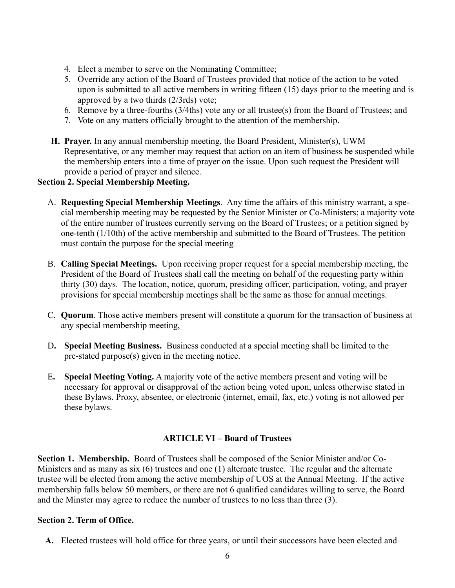- 4. Elect a member to serve on the Nominating Committee;
- 5. Override any action of the Board of Trustees provided that notice of the action to be voted upon is submitted to all active members in writing fifteen (15) days prior to the meeting and is approved by a two thirds (2/3rds) vote;
- 6. Remove by a three-fourths (3/4ths) vote any or all trustee(s) from the Board of Trustees; and
- 7. Vote on any matters officially brought to the attention of the membership.
- **H. Prayer.** In any annual membership meeting, the Board President, Minister(s), UWM Representative, or any member may request that action on an item of business be suspended while the membership enters into a time of prayer on the issue. Upon such request the President will provide a period of prayer and silence.

### **Section 2. Special Membership Meeting.**

- A. **Requesting Special Membership Meetings**. Any time the affairs of this ministry warrant, a special membership meeting may be requested by the Senior Minister or Co-Ministers; a majority vote of the entire number of trustees currently serving on the Board of Trustees; or a petition signed by one-tenth (1/10th) of the active membership and submitted to the Board of Trustees. The petition must contain the purpose for the special meeting
- B. **Calling Special Meetings.** Upon receiving proper request for a special membership meeting, the President of the Board of Trustees shall call the meeting on behalf of the requesting party within thirty (30) days. The location, notice, quorum, presiding officer, participation, voting, and prayer provisions for special membership meetings shall be the same as those for annual meetings.
- C. **Quorum**. Those active members present will constitute a quorum for the transaction of business at any special membership meeting,
- D**. Special Meeting Business.** Business conducted at a special meeting shall be limited to the pre-stated purpose(s) given in the meeting notice.
- E**. Special Meeting Voting.** A majority vote of the active members present and voting will be necessary for approval or disapproval of the action being voted upon, unless otherwise stated in these Bylaws. Proxy, absentee, or electronic (internet, email, fax, etc.) voting is not allowed per these bylaws.

# **ARTICLE VI – Board of Trustees**

**Section 1. Membership.** Board of Trustees shall be composed of the Senior Minister and/or Co-Ministers and as many as six (6) trustees and one (1) alternate trustee. The regular and the alternate trustee will be elected from among the active membership of UOS at the Annual Meeting. If the active membership falls below 50 members, or there are not 6 qualified candidates willing to serve, the Board and the Minster may agree to reduce the number of trustees to no less than three (3).

#### **Section 2. Term of Office.**

**A.** Elected trustees will hold office for three years, or until their successors have been elected and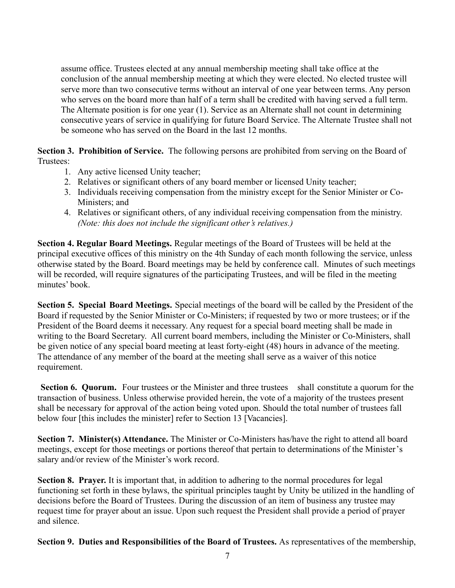assume office. Trustees elected at any annual membership meeting shall take office at the conclusion of the annual membership meeting at which they were elected. No elected trustee will serve more than two consecutive terms without an interval of one year between terms. Any person who serves on the board more than half of a term shall be credited with having served a full term. The Alternate position is for one year (1). Service as an Alternate shall not count in determining consecutive years of service in qualifying for future Board Service. The Alternate Trustee shall not be someone who has served on the Board in the last 12 months.

**Section 3. Prohibition of Service.** The following persons are prohibited from serving on the Board of Trustees:

- 1. Any active licensed Unity teacher;
- 2. Relatives or significant others of any board member or licensed Unity teacher;
- 3. Individuals receiving compensation from the ministry except for the Senior Minister or Co-Ministers; and
- 4. Relatives or significant others, of any individual receiving compensation from the ministry. *(Note: this does not include the significant other's relatives.)*

**Section 4. Regular Board Meetings.** Regular meetings of the Board of Trustees will be held at the principal executive offices of this ministry on the 4th Sunday of each month following the service, unless otherwise stated by the Board. Board meetings may be held by conference call. Minutes of such meetings will be recorded, will require signatures of the participating Trustees, and will be filed in the meeting minutes' book.

**Section 5. Special Board Meetings.** Special meetings of the board will be called by the President of the Board if requested by the Senior Minister or Co-Ministers; if requested by two or more trustees; or if the President of the Board deems it necessary. Any request for a special board meeting shall be made in writing to the Board Secretary. All current board members, including the Minister or Co-Ministers, shall be given notice of any special board meeting at least forty-eight (48) hours in advance of the meeting. The attendance of any member of the board at the meeting shall serve as a waiver of this notice requirement.

**Section 6. Quorum.** Four trustees or the Minister and three trustees shall constitute a quorum for the transaction of business. Unless otherwise provided herein, the vote of a majority of the trustees present shall be necessary for approval of the action being voted upon. Should the total number of trustees fall below four [this includes the minister] refer to Section 13 [Vacancies].

**Section 7. Minister(s) Attendance.** The Minister or Co-Ministers has/have the right to attend all board meetings, except for those meetings or portions thereof that pertain to determinations of the Minister's salary and/or review of the Minister's work record.

**Section 8. Prayer.** It is important that, in addition to adhering to the normal procedures for legal functioning set forth in these bylaws, the spiritual principles taught by Unity be utilized in the handling of decisions before the Board of Trustees. During the discussion of an item of business any trustee may request time for prayer about an issue. Upon such request the President shall provide a period of prayer and silence.

**Section 9. Duties and Responsibilities of the Board of Trustees.** As representatives of the membership,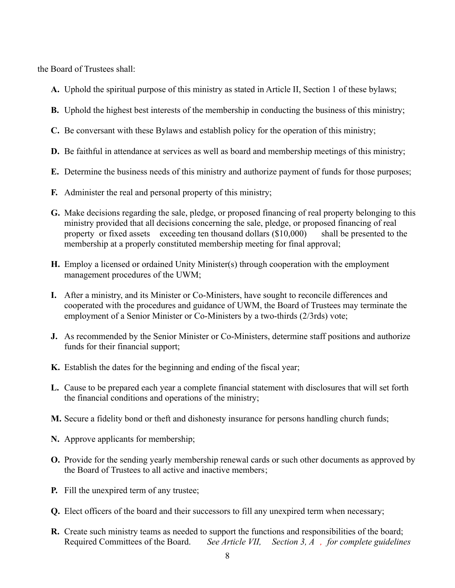the Board of Trustees shall:

- **A.** Uphold the spiritual purpose of this ministry as stated in Article II, Section 1 of these bylaws;
- **B.** Uphold the highest best interests of the membership in conducting the business of this ministry;
- **C.** Be conversant with these Bylaws and establish policy for the operation of this ministry;
- **D.** Be faithful in attendance at services as well as board and membership meetings of this ministry;
- **E.** Determine the business needs of this ministry and authorize payment of funds for those purposes;
- **F.** Administer the real and personal property of this ministry;
- **G.** Make decisions regarding the sale, pledge, or proposed financing of real property belonging to this ministry provided that all decisions concerning the sale, pledge, or proposed financing of real property or fixed assets exceeding ten thousand dollars (\$10,000) shall be presented to the membership at a properly constituted membership meeting for final approval;
- **H.** Employ a licensed or ordained Unity Minister(s) through cooperation with the employment management procedures of the UWM;
- **I.** After a ministry, and its Minister or Co-Ministers, have sought to reconcile differences and cooperated with the procedures and guidance of UWM, the Board of Trustees may terminate the employment of a Senior Minister or Co-Ministers by a two-thirds (2/3rds) vote;
- **J.** As recommended by the Senior Minister or Co-Ministers, determine staff positions and authorize funds for their financial support;
- **K.** Establish the dates for the beginning and ending of the fiscal year;
- **L.** Cause to be prepared each year a complete financial statement with disclosures that will set forth the financial conditions and operations of the ministry;
- **M.** Secure a fidelity bond or theft and dishonesty insurance for persons handling church funds;
- **N.** Approve applicants for membership;
- **O.** Provide for the sending yearly membership renewal cards or such other documents as approved by the Board of Trustees to all active and inactive members;
- **P.** Fill the unexpired term of any trustee;
- **Q.** Elect officers of the board and their successors to fill any unexpired term when necessary;
- **R.** Create such ministry teams as needed to support the functions and responsibilities of the board; Required Committees of the Board. *See Article VII, Section 3, A , for complete guidelines*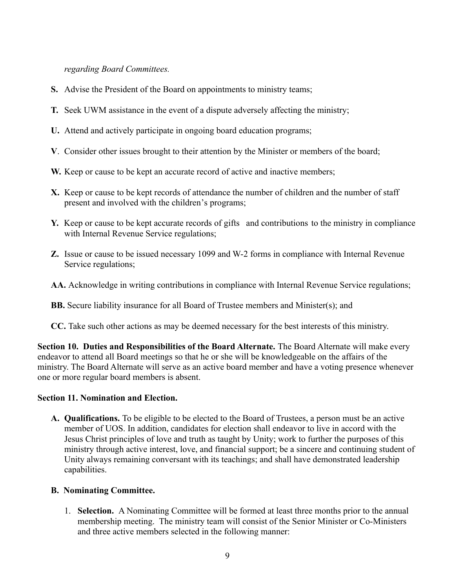*regarding Board Committees.*

- **S.** Advise the President of the Board on appointments to ministry teams;
- **T.** Seek UWM assistance in the event of a dispute adversely affecting the ministry;
- **U.** Attend and actively participate in ongoing board education programs;
- **V**. Consider other issues brought to their attention by the Minister or members of the board;
- **W.** Keep or cause to be kept an accurate record of active and inactive members;
- **X.** Keep or cause to be kept records of attendance the number of children and the number of staff present and involved with the children's programs;
- **Y.** Keep or cause to be kept accurate records of gifts and contributions to the ministry in compliance with Internal Revenue Service regulations;
- **Z.** Issue or cause to be issued necessary 1099 and W-2 forms in compliance with Internal Revenue Service regulations;
- **AA.** Acknowledge in writing contributions in compliance with Internal Revenue Service regulations;
- **BB.** Secure liability insurance for all Board of Trustee members and Minister(s); and
- **CC.** Take such other actions as may be deemed necessary for the best interests of this ministry.

**Section 10. Duties and Responsibilities of the Board Alternate.** The Board Alternate will make every endeavor to attend all Board meetings so that he or she will be knowledgeable on the affairs of the ministry. The Board Alternate will serve as an active board member and have a voting presence whenever one or more regular board members is absent.

#### **Section 11. Nomination and Election.**

**A. Qualifications.** To be eligible to be elected to the Board of Trustees, a person must be an active member of UOS. In addition, candidates for election shall endeavor to live in accord with the Jesus Christ principles of love and truth as taught by Unity; work to further the purposes of this ministry through active interest, love, and financial support; be a sincere and continuing student of Unity always remaining conversant with its teachings; and shall have demonstrated leadership capabilities.

# **B. Nominating Committee.**

1. **Selection.** A Nominating Committee will be formed at least three months prior to the annual membership meeting. The ministry team will consist of the Senior Minister or Co-Ministers and three active members selected in the following manner: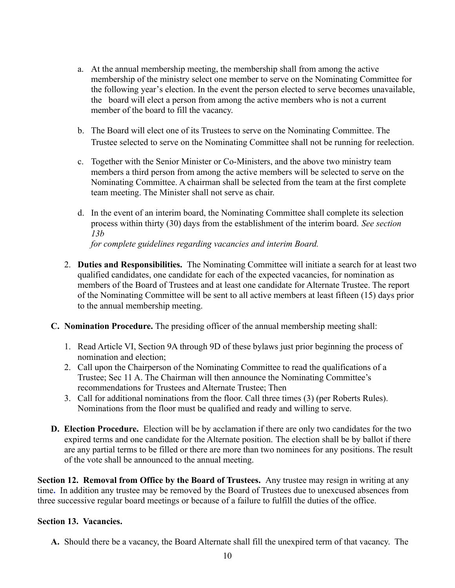- a. At the annual membership meeting, the membership shall from among the active membership of the ministry select one member to serve on the Nominating Committee for the following year's election. In the event the person elected to serve becomes unavailable, the board will elect a person from among the active members who is not a current member of the board to fill the vacancy.
- b. The Board will elect one of its Trustees to serve on the Nominating Committee. The Trustee selected to serve on the Nominating Committee shall not be running for reelection.
- c. Together with the Senior Minister or Co-Ministers, and the above two ministry team members a third person from among the active members will be selected to serve on the Nominating Committee. A chairman shall be selected from the team at the first complete team meeting. The Minister shall not serve as chair.
- d. In the event of an interim board, the Nominating Committee shall complete its selection process within thirty (30) days from the establishment of the interim board. *See section 13b for complete guidelines regarding vacancies and interim Board.*
- 2. **Duties and Responsibilities.** The Nominating Committee will initiate a search for at least two qualified candidates, one candidate for each of the expected vacancies, for nomination as members of the Board of Trustees and at least one candidate for Alternate Trustee. The report of the Nominating Committee will be sent to all active members at least fifteen (15) days prior to the annual membership meeting.
- **C. Nomination Procedure.** The presiding officer of the annual membership meeting shall:
	- 1. Read Article VI, Section 9A through 9D of these bylaws just prior beginning the process of nomination and election;
	- 2. Call upon the Chairperson of the Nominating Committee to read the qualifications of a Trustee; Sec 11 A. The Chairman will then announce the Nominating Committee's recommendations for Trustees and Alternate Trustee; Then
	- 3. Call for additional nominations from the floor. Call three times (3) (per Roberts Rules). Nominations from the floor must be qualified and ready and willing to serve.
- **D. Election Procedure.** Election will be by acclamation if there are only two candidates for the two expired terms and one candidate for the Alternate position. The election shall be by ballot if there are any partial terms to be filled or there are more than two nominees for any positions. The result of the vote shall be announced to the annual meeting.

**Section 12. Removal from Office by the Board of Trustees.** Any trustee may resign in writing at any time**.** In addition any trustee may be removed by the Board of Trustees due to unexcused absences from three successive regular board meetings or because of a failure to fulfill the duties of the office.

#### **Section 13. Vacancies.**

**A.** Should there be a vacancy, the Board Alternate shall fill the unexpired term of that vacancy. The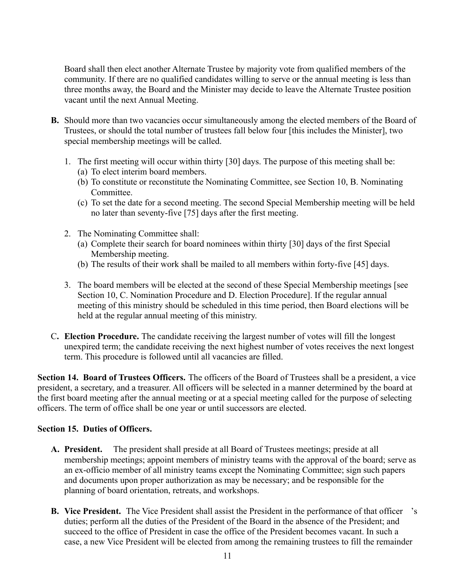Board shall then elect another Alternate Trustee by majority vote from qualified members of the community. If there are no qualified candidates willing to serve or the annual meeting is less than three months away, the Board and the Minister may decide to leave the Alternate Trustee position vacant until the next Annual Meeting.

- **B.** Should more than two vacancies occur simultaneously among the elected members of the Board of Trustees, or should the total number of trustees fall below four [this includes the Minister], two special membership meetings will be called.
	- 1. The first meeting will occur within thirty [30] days. The purpose of this meeting shall be:
		- (a) To elect interim board members.
		- (b) To constitute or reconstitute the Nominating Committee, see Section 10, B. Nominating Committee.
		- (c) To set the date for a second meeting. The second Special Membership meeting will be held no later than seventy-five [75] days after the first meeting.
	- 2. The Nominating Committee shall:
		- (a) Complete their search for board nominees within thirty [30] days of the first Special Membership meeting.
		- (b) The results of their work shall be mailed to all members within forty-five [45] days.
	- 3. The board members will be elected at the second of these Special Membership meetings [see Section 10, C. Nomination Procedure and D. Election Procedure]. If the regular annual meeting of this ministry should be scheduled in this time period, then Board elections will be held at the regular annual meeting of this ministry.
- C**. Election Procedure.** The candidate receiving the largest number of votes will fill the longest unexpired term; the candidate receiving the next highest number of votes receives the next longest term. This procedure is followed until all vacancies are filled.

**Section 14. Board of Trustees Officers.** The officers of the Board of Trustees shall be a president, a vice president, a secretary, and a treasurer. All officers will be selected in a manner determined by the board at the first board meeting after the annual meeting or at a special meeting called for the purpose of selecting officers. The term of office shall be one year or until successors are elected.

# **Section 15. Duties of Officers.**

- **A. President.** The president shall preside at all Board of Trustees meetings; preside at all membership meetings; appoint members of ministry teams with the approval of the board; serve as an ex-officio member of all ministry teams except the Nominating Committee; sign such papers and documents upon proper authorization as may be necessary; and be responsible for the planning of board orientation, retreats, and workshops.
- **B. Vice President.** The Vice President shall assist the President in the performance of that officer 's duties; perform all the duties of the President of the Board in the absence of the President; and succeed to the office of President in case the office of the President becomes vacant. In such a case, a new Vice President will be elected from among the remaining trustees to fill the remainder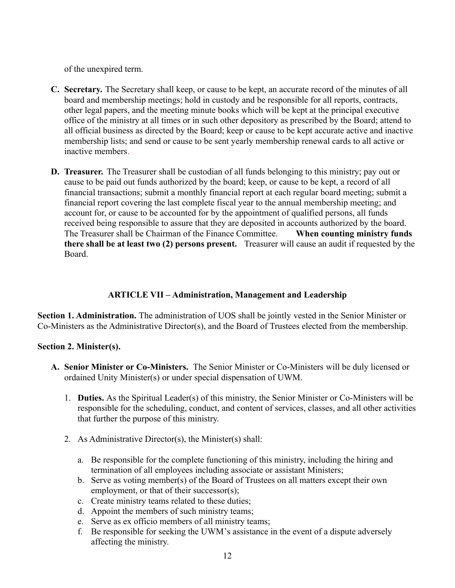of the unexpired term.

- **C. Secretary.** The Secretary shall keep, or cause to be kept, an accurate record of the minutes of all board and membership meetings; hold in custody and be responsible for all reports, contracts, other legal papers, and the meeting minute books which will be kept at the principal executive office of the ministry at all times or in such other depository as prescribed by the Board; attend to all official business as directed by the Board; keep or cause to be kept accurate active and inactive membership lists; and send or cause to be sent yearly membership renewal cards to all active or inactive members.
- **D. Treasurer.** The Treasurer shall be custodian of all funds belonging to this ministry; pay out or cause to be paid out funds authorized by the board; keep, or cause to be kept, a record of all financial transactions; submit a monthly financial report at each regular board meeting; submit a financial report covering the last complete fiscal year to the annual membership meeting; and account for, or cause to be accounted for by the appointment of qualified persons, all funds received being responsible to assure that they are deposited in accounts authorized by the board. The Treasurer shall be Chairman of the Finance Committee. **When counting ministry funds there shall be at least two (2) persons present.** Treasurer will cause an audit if requested by the Board.

# **ARTICLE VII – Administration, Management and Leadership**

**Section 1. Administration.** The administration of UOS shall be jointly vested in the Senior Minister or Co-Ministers as the Administrative Director(s), and the Board of Trustees elected from the membership.

# **Section 2. Minister(s).**

- **A. Senior Minister or Co-Ministers.** The Senior Minister or Co-Ministers will be duly licensed or ordained Unity Minister(s) or under special dispensation of UWM.
	- 1. **Duties.** As the Spiritual Leader(s) of this ministry, the Senior Minister or Co-Ministers will be responsible for the scheduling, conduct, and content of services, classes, and all other activities that further the purpose of this ministry.
	- 2. As Administrative Director(s), the Minister(s) shall:
		- a. Be responsible for the complete functioning of this ministry, including the hiring and termination of all employees including associate or assistant Ministers;
		- b. Serve as voting member(s) of the Board of Trustees on all matters except their own employment, or that of their successor(s);
		- c. Create ministry teams related to these duties;
		- d. Appoint the members of such ministry teams;
		- e. Serve as ex officio members of all ministry teams;
		- f. Be responsible for seeking the UWM's assistance in the event of a dispute adversely affecting the ministry.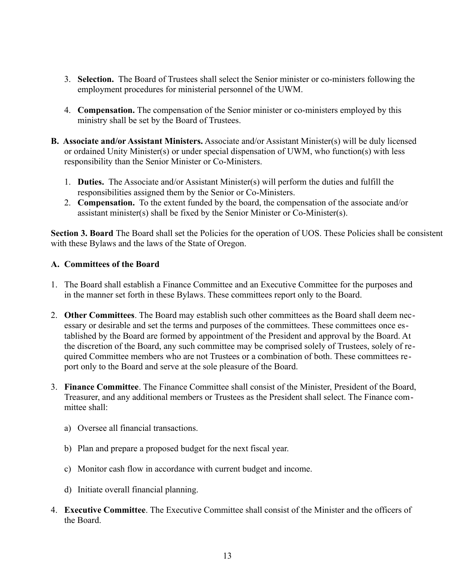- 3. **Selection.** The Board of Trustees shall select the Senior minister or co-ministers following the employment procedures for ministerial personnel of the UWM.
- 4. **Compensation.** The compensation of the Senior minister or co-ministers employed by this ministry shall be set by the Board of Trustees.
- **B. Associate and/or Assistant Ministers.** Associate and/or Assistant Minister(s) will be duly licensed or ordained Unity Minister(s) or under special dispensation of UWM, who function(s) with less responsibility than the Senior Minister or Co-Ministers.
	- 1. **Duties.** The Associate and/or Assistant Minister(s) will perform the duties and fulfill the responsibilities assigned them by the Senior or Co-Ministers.
	- 2. **Compensation.** To the extent funded by the board, the compensation of the associate and/or assistant minister(s) shall be fixed by the Senior Minister or Co-Minister(s).

**Section 3. Board** The Board shall set the Policies for the operation of UOS. These Policies shall be consistent with these Bylaws and the laws of the State of Oregon.

#### **A. Committees of the Board**

- 1. The Board shall establish a Finance Committee and an Executive Committee for the purposes and in the manner set forth in these Bylaws. These committees report only to the Board.
- 2. **Other Committees**. The Board may establish such other committees as the Board shall deem necessary or desirable and set the terms and purposes of the committees. These committees once established by the Board are formed by appointment of the President and approval by the Board. At the discretion of the Board, any such committee may be comprised solely of Trustees, solely of required Committee members who are not Trustees or a combination of both. These committees report only to the Board and serve at the sole pleasure of the Board.
- 3. **Finance Committee**. The Finance Committee shall consist of the Minister, President of the Board, Treasurer, and any additional members or Trustees as the President shall select. The Finance committee shall:
	- a) Oversee all financial transactions.
	- b) Plan and prepare a proposed budget for the next fiscal year.
	- c) Monitor cash flow in accordance with current budget and income.
	- d) Initiate overall financial planning.
- 4. **Executive Committee**. The Executive Committee shall consist of the Minister and the officers of the Board.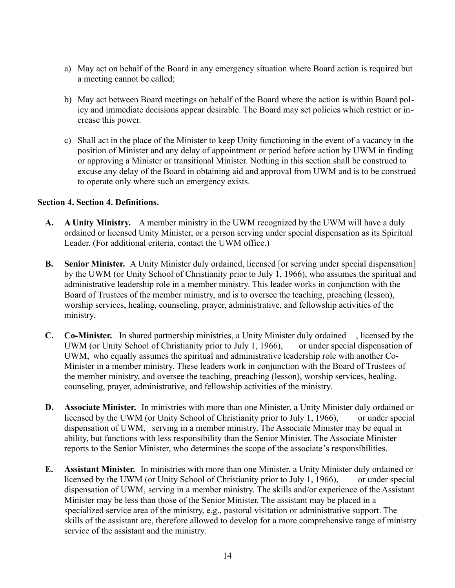- a) May act on behalf of the Board in any emergency situation where Board action is required but a meeting cannot be called;
- b) May act between Board meetings on behalf of the Board where the action is within Board policy and immediate decisions appear desirable. The Board may set policies which restrict or increase this power.
- c) Shall act in the place of the Minister to keep Unity functioning in the event of a vacancy in the position of Minister and any delay of appointment or period before action by UWM in finding or approving a Minister or transitional Minister. Nothing in this section shall be construed to excuse any delay of the Board in obtaining aid and approval from UWM and is to be construed to operate only where such an emergency exists.

#### **Section 4. Section 4. Definitions.**

- **A. A Unity Ministry.** A member ministry in the UWM recognized by the UWM will have a duly ordained or licensed Unity Minister, or a person serving under special dispensation as its Spiritual Leader. (For additional criteria, contact the UWM office.)
- **B. Senior Minister.** A Unity Minister duly ordained, licensed [or serving under special dispensation] by the UWM (or Unity School of Christianity prior to July 1, 1966), who assumes the spiritual and administrative leadership role in a member ministry. This leader works in conjunction with the Board of Trustees of the member ministry, and is to oversee the teaching, preaching (lesson), worship services, healing, counseling, prayer, administrative, and fellowship activities of the ministry.
- **C. Co-Minister.** In shared partnership ministries, a Unity Minister duly ordained , licensed by the UWM (or Unity School of Christianity prior to July 1, 1966), or under special dispensation of UWM, who equally assumes the spiritual and administrative leadership role with another Co-Minister in a member ministry. These leaders work in conjunction with the Board of Trustees of the member ministry, and oversee the teaching, preaching (lesson), worship services, healing, counseling, prayer, administrative, and fellowship activities of the ministry.
- **D. Associate Minister.** In ministries with more than one Minister, a Unity Minister duly ordained or licensed by the UWM (or Unity School of Christianity prior to July 1, 1966), or under special dispensation of UWM, serving in a member ministry. The Associate Minister may be equal in ability, but functions with less responsibility than the Senior Minister. The Associate Minister reports to the Senior Minister, who determines the scope of the associate's responsibilities.
- **E. Assistant Minister.** In ministries with more than one Minister, a Unity Minister duly ordained or licensed by the UWM (or Unity School of Christianity prior to July 1, 1966), or under special dispensation of UWM, serving in a member ministry. The skills and/or experience of the Assistant Minister may be less than those of the Senior Minister. The assistant may be placed in a specialized service area of the ministry, e.g., pastoral visitation or administrative support. The skills of the assistant are, therefore allowed to develop for a more comprehensive range of ministry service of the assistant and the ministry.